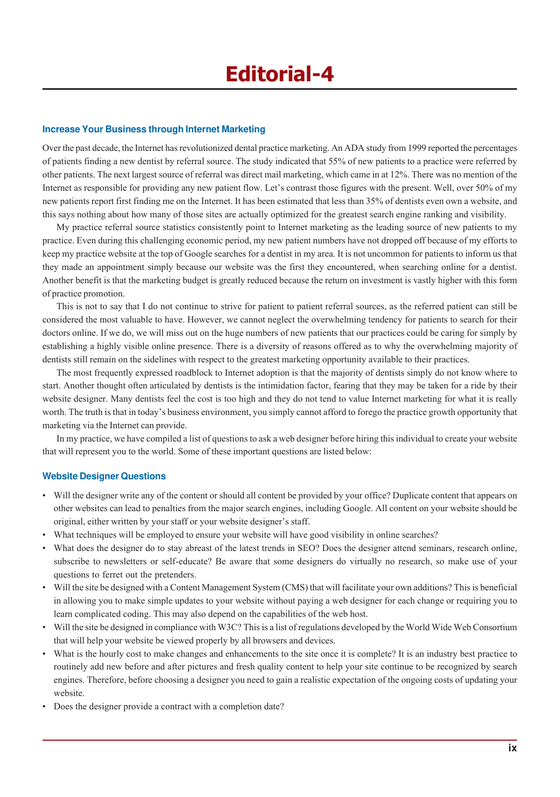## **Increase Your Business through Internet Marketing**

Over the past decade, the Internet has revolutionized dental practice marketing. An ADA study from 1999 reported the percentages of patients finding a new dentist by referral source. The study indicated that 55% of new patients to a practice were referred by other patients. The next largest source of referral was direct mail marketing, which came in at 12%. There was no mention of the Internet as responsible for providing any new patient flow. Let's contrast those figures with the present. Well, over 50% of my new patients report first finding me on the Internet. It has been estimated that less than 35% of dentists even own a website, and this says nothing about how many of those sites are actually optimized for the greatest search engine ranking and visibility.

My practice referral source statistics consistently point to Internet marketing as the leading source of new patients to my practice. Even during this challenging economic period, my new patient numbers have not dropped off because of my efforts to keep my practice website at the top of Google searches for a dentist in my area. It is not uncommon for patients to inform us that they made an appointment simply because our website was the first they encountered, when searching online for a dentist. Another benefit is that the marketing budget is greatly reduced because the return on investment is vastly higher with this form of practice promotion.

This is not to say that I do not continue to strive for patient to patient referral sources, as the referred patient can still be considered the most valuable to have. However, we cannot neglect the overwhelming tendency for patients to search for their doctors online. If we do, we will miss out on the huge numbers of new patients that our practices could be caring for simply by establishing a highly visible online presence. There is a diversity of reasons offered as to why the overwhelming majority of dentists still remain on the sidelines with respect to the greatest marketing opportunity available to their practices.

The most frequently expressed roadblock to Internet adoption is that the majority of dentists simply do not know where to start. Another thought often articulated by dentists is the intimidation factor, fearing that they may be taken for a ride by their website designer. Many dentists feel the cost is too high and they do not tend to value Internet marketing for what it is really worth. The truth is that in today's business environment, you simply cannot afford to forego the practice growth opportunity that marketing via the Internet can provide.

In my practice, we have compiled a list of questions to ask a web designer before hiring this individual to create your website that will represent you to the world. Some of these important questions are listed below:

## **Website Designer Questions**

- ï Will the designer write any of the content or should all content be provided by your office? Duplicate content that appears on other websites can lead to penalties from the major search engines, including Google. All content on your website should be original, either written by your staff or your website designer's staff.
- What techniques will be employed to ensure your website will have good visibility in online searches?
- ï What does the designer do to stay abreast of the latest trends in SEO? Does the designer attend seminars, research online, subscribe to newsletters or self-educate? Be aware that some designers do virtually no research, so make use of your questions to ferret out the pretenders.
- Will the site be designed with a Content Management System (CMS) that will facilitate your own additions? This is beneficial in allowing you to make simple updates to your website without paying a web designer for each change or requiring you to learn complicated coding. This may also depend on the capabilities of the web host.
- Will the site be designed in compliance with W3C? This is a list of regulations developed by the World Wide Web Consortium that will help your website be viewed properly by all browsers and devices.
- ï What is the hourly cost to make changes and enhancements to the site once it is complete? It is an industry best practice to routinely add new before and after pictures and fresh quality content to help your site continue to be recognized by search engines. Therefore, before choosing a designer you need to gain a realistic expectation of the ongoing costs of updating your website.
- Does the designer provide a contract with a completion date?